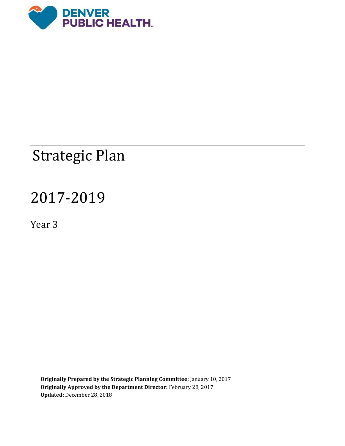

# Strategic Plan

# 2017-2019

Year 3

**Originally Prepared by the Strategic Planning Committee:** January 10, 2017 **Originally Approved by the Department Director:** February 28, 2017 **Updated:** December 28, 2018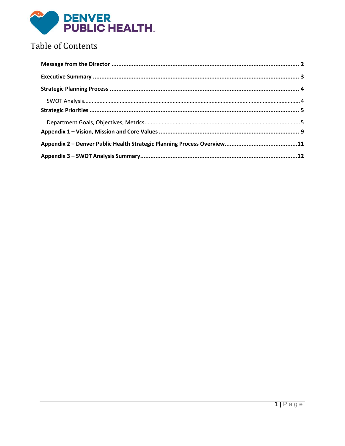

## **Table of Contents**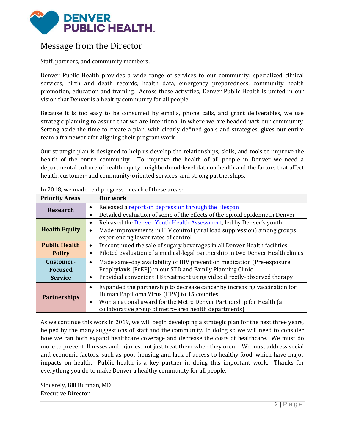

### <span id="page-2-0"></span>Message from the Director

Staff, partners, and community members,

Denver Public Health provides a wide range of services to our community: specialized clinical services, birth and death records, health data, emergency preparedness, community health promotion, education and training. Across these activities, Denver Public Health is united in our vision that Denver is a healthy community for all people.

Because it is too easy to be consumed by emails, phone calls, and grant deliverables, we use strategic planning to assure that we are intentional in where we are headed *with* our community. Setting aside the time to create a plan, with clearly defined goals and strategies, gives our entire team a framework for aligning their program work.

Our strategic plan is designed to help us develop the relationships, skills, and tools to improve the health of the entire community. To improve the health of all people in Denver we need a departmental culture of health equity, neighborhood-level data on health and the factors that affect health, customer- and community-oriented services, and strong partnerships.

| <b>Priority Areas</b>                         | Our work                                                                                                                                                                                                                                                                          |  |
|-----------------------------------------------|-----------------------------------------------------------------------------------------------------------------------------------------------------------------------------------------------------------------------------------------------------------------------------------|--|
| <b>Research</b>                               | Released a report on depression through the lifespan<br>$\bullet$<br>Detailed evaluation of some of the effects of the opioid epidemic in Denver<br>٠                                                                                                                             |  |
| <b>Health Equity</b>                          | Released the <b>Denver Youth Health Assessment</b> , led by Denver's youth<br>$\bullet$<br>Made improvements in HIV control (viral load suppression) among groups<br>experiencing lower rates of control                                                                          |  |
| <b>Public Health</b><br><b>Policy</b>         | Discontinued the sale of sugary beverages in all Denver Health facilities<br>$\bullet$<br>Piloted evaluation of a medical-legal partnership in two Denver Health clinics<br>$\bullet$                                                                                             |  |
| Customer-<br><b>Focused</b><br><b>Service</b> | Made same-day availability of HIV prevention medication (Pre-exposure<br>$\bullet$<br>Prophylaxis [PrEP]) in our STD and Family Planning Clinic<br>Provided convenient TB treatment using video directly-observed therapy<br>$\bullet$                                            |  |
| <b>Partnerships</b>                           | Expanded the partnership to decrease cancer by increasing vaccination for<br>$\bullet$<br>Human Papilloma Virus (HPV) to 15 counties<br>Won a national award for the Metro Denver Partnership for Health (a<br>$\bullet$<br>collaborative group of metro-area health departments) |  |

In 2018, we made real progress in each of these areas:

As we continue this work in 2019, we will begin developing a strategic plan for the next three years, helped by the many suggestions of staff and the community. In doing so we will need to consider how we can both expand healthcare coverage and decrease the costs of healthcare. We must do more to prevent illnesses and injuries, not just treat them when they occur. We must address social and economic factors, such as poor housing and lack of access to healthy food, which have major impacts on health. Public health is a key partner in doing this important work. Thanks for everything you do to make Denver a healthy community for all people.

Sincerely, Bill Burman, MD Executive Director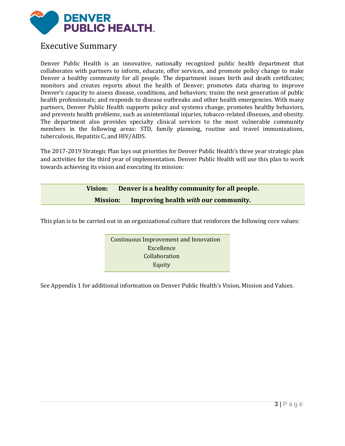

#### <span id="page-3-0"></span>Executive Summary

Denver Public Health is an innovative, nationally recognized public health department that collaborates with partners to inform, educate, offer services, and promote policy change to make Denver a healthy community for all people. The department issues birth and death certificates; monitors and creates reports about the health of Denver; promotes data sharing to improve Denver's capacity to assess disease, conditions, and behaviors; trains the next generation of public health professionals; and responds to disease outbreaks and other health emergencies. With many partners, Denver Public Health supports policy and systems change, promotes healthy behaviors, and prevents health problems, such as unintentional injuries, tobacco-related illnesses, and obesity. The department also provides specialty clinical services to the most vulnerable community members in the following areas: STD, family planning, routine and travel immunizations, tuberculosis, Hepatitis C, and HIV/AIDS.

The 2017-2019 Strategic Plan lays out priorities for Denver Public Health's three year strategic plan and activities for the third year of implementation. Denver Public Health will use this plan to work towards achieving its vision and executing its mission:

| Vision: |                 | Denver is a healthy community for all people. |
|---------|-----------------|-----------------------------------------------|
|         | <b>Mission:</b> | Improving health with our community.          |

This plan is to be carried out in an organizational culture that reinforces the following core values:

Continuous Improvement and Innovation Excellence Collaboration Equity

See Appendix 1 for additional information on Denver Public Health's Vision, Mission and Values.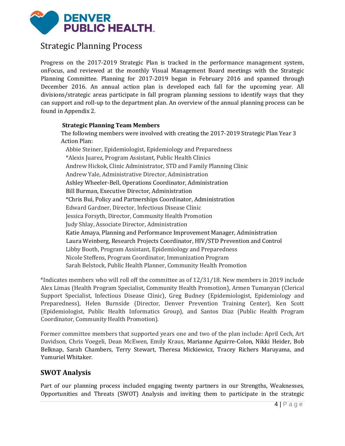

### <span id="page-4-0"></span>Strategic Planning Process

Progress on the 2017-2019 Strategic Plan is tracked in the performance management system, onFocus, and reviewed at the monthly Visual Management Board meetings with the Strategic Planning Committee. Planning for 2017-2019 began in February 2016 and spanned through December 2016. An annual action plan is developed each fall for the upcoming year. All divisions/strategic areas participate in fall program planning sessions to identify ways that they can support and roll-up to the department plan. An overview of the annual planning process can be found in Appendix 2.

#### **Strategic Planning Team Members**

The following members were involved with creating the 2017-2019 Strategic Plan Year 3 Action Plan:

Abbie Steiner, Epidemiologist, Epidemiology and Preparedness \*Alexis Juarez, Program Assistant, Public Health Clinics Andrew Hickok, Clinic Administrator, STD and Family Planning Clinic Andrew Yale, Administrative Director, Administration Ashley Wheeler-Bell, Operations Coordinator, Administration Bill Burman, Executive Director, Administration \*Chris Bui, Policy and Partnerships Coordinator, Administration Edward Gardner, Director, Infectious Disease Clinic Jessica Forsyth, Director, Community Health Promotion Judy Shlay, Associate Director, Administration Katie Amaya, Planning and Performance Improvement Manager, Administration Laura Weinberg, Research Projects Coordinator, HIV/STD Prevention and Control Libby Booth, Program Assistant, Epidemiology and Preparedness Nicole Steffens, Program Coordinator, Immunization Program Sarah Belstock, Public Health Planner, Community Health Promotion

\*Indicates members who will roll off the committee as of 12/31/18. New members in 2019 include Alex Limas (Health Program Specialist, Community Health Promotion), Armen Tumanyan (Clerical Support Specialist, Infectious Disease Clinic), Greg Budney (Epidemiologist, Epidemiology and Preparedness), Helen Burnside (Director, Denver Prevention Training Center), Ken Scott (Epidemiologist, Public Health Informatics Group), and Santos Diaz (Public Health Program Coordinator, Community Health Promotion).

Former committee members that supported years one and two of the plan include: April Cech, Art Davidson, Chris Voegeli, Dean McEwen, Emily Kraus, Marianne Aguirre-Colon, Nikki Heider, Bob Belknap, Sarah Chambers, Terry Stewart, Theresa Mickiewicz, Tracey Richers Maruyama, and Yumuriel Whitaker.

#### <span id="page-4-1"></span>**SWOT Analysis**

Part of our planning process included engaging twenty partners in our Strengths, Weaknesses, Opportunities and Threats (SWOT) Analysis and inviting them to participate in the strategic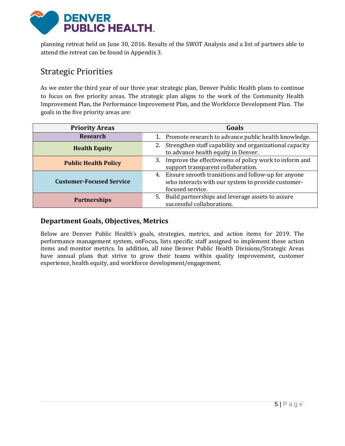

planning retreat held on June 30, 2016. Results of the SWOT Analysis and a list of partners able to attend the retreat can be found in Appendix 3.

### <span id="page-5-0"></span>Strategic Priorities

As we enter the third year of our three year strategic plan, Denver Public Health plans to continue to focus on five priority areas. The strategic plan aligns to the work of the Community Health Improvement Plan, the Performance Improvement Plan, and the Workforce Development Plan. The goals in the five priority areas are:

| <b>Priority Areas</b>           | Goals                                                         |  |
|---------------------------------|---------------------------------------------------------------|--|
| <b>Research</b>                 | Promote research to advance public health knowledge.<br>1.    |  |
| <b>Health Equity</b>            | Strengthen staff capability and organizational capacity<br>2. |  |
|                                 | to advance health equity in Denver.                           |  |
| <b>Public Health Policy</b>     | Improve the effectiveness of policy work to inform and<br>3.  |  |
|                                 | support transparent collaboration.                            |  |
|                                 | 4. Ensure smooth transitions and follow-up for anyone         |  |
| <b>Customer-Focused Service</b> | who interacts with our system to provide customer-            |  |
|                                 | focused service.                                              |  |
| <b>Partnerships</b>             | Build partnerships and leverage assets to assure<br>5.        |  |
|                                 | successful collaborations.                                    |  |

#### <span id="page-5-1"></span>**Department Goals, Objectives, Metrics**

Below are Denver Public Health's goals, strategies, metrics, and action items for 2019. The performance management system, onFocus, lists specific staff assigned to implement these action items and monitor metrics. In addition, all nine Denver Public Health Divisions/Strategic Areas have annual plans that strive to grow their teams within quality improvement, customer experience, health equity, and workforce development/engagement.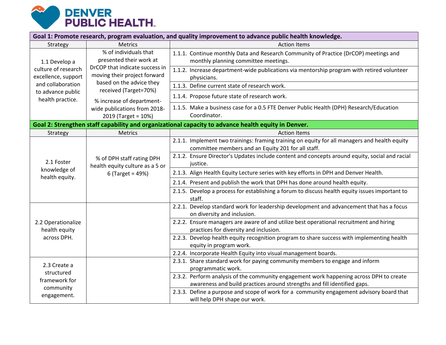

| Goal 1: Promote research, program evaluation, and quality improvement to advance public health knowledge. |                                                                                                                    |                                                                                                                                                                     |
|-----------------------------------------------------------------------------------------------------------|--------------------------------------------------------------------------------------------------------------------|---------------------------------------------------------------------------------------------------------------------------------------------------------------------|
| Strategy                                                                                                  | <b>Metrics</b>                                                                                                     | <b>Action Items</b>                                                                                                                                                 |
| 1.1 Develop a<br>culture of research<br>excellence, support                                               | % of individuals that<br>presented their work at<br>DrCOP that indicate success in<br>moving their project forward | 1.1.1. Continue monthly Data and Research Community of Practice (DrCOP) meetings and<br>monthly planning committee meetings.                                        |
|                                                                                                           |                                                                                                                    | 1.1.2. Increase department-wide publications via mentorship program with retired volunteer<br>physicians.                                                           |
| and collaboration                                                                                         | based on the advice they<br>received (Target=70%)                                                                  | 1.1.3. Define current state of research work.                                                                                                                       |
| to advance public<br>health practice.                                                                     | % increase of department-                                                                                          | 1.1.4. Propose future state of research work.                                                                                                                       |
|                                                                                                           | wide publications from 2018-<br>2019 (Target = 10%)                                                                | 1.1.5. Make a business case for a 0.5 FTE Denver Public Health (DPH) Research/Education<br>Coordinator.                                                             |
|                                                                                                           |                                                                                                                    | Goal 2: Strengthen staff capability and organizational capacity to advance health equity in Denver.                                                                 |
| Strategy                                                                                                  | <b>Metrics</b>                                                                                                     | <b>Action Items</b>                                                                                                                                                 |
|                                                                                                           | % of DPH staff rating DPH<br>health equity culture as a 5 or<br>$6$ (Target = 49%)                                 | 2.1.1. Implement two trainings: framing training on equity for all managers and health equity<br>committee members and an Equity 201 for all staff.                 |
| 2.1 Foster                                                                                                |                                                                                                                    | 2.1.2. Ensure Director's Updates include content and concepts around equity, social and racial<br>justice.                                                          |
| knowledge of                                                                                              |                                                                                                                    | 2.1.3. Align Health Equity Lecture series with key efforts in DPH and Denver Health.                                                                                |
| health equity.                                                                                            |                                                                                                                    | 2.1.4. Present and publish the work that DPH has done around health equity.                                                                                         |
|                                                                                                           |                                                                                                                    | 2.1.5. Develop a process for establishing a forum to discuss health equity issues important to<br>staff.                                                            |
|                                                                                                           |                                                                                                                    | 2.2.1. Develop standard work for leadership development and advancement that has a focus<br>on diversity and inclusion.                                             |
| 2.2 Operationalize<br>health equity<br>across DPH.                                                        |                                                                                                                    | 2.2.2. Ensure managers are aware of and utilize best operational recruitment and hiring<br>practices for diversity and inclusion.                                   |
|                                                                                                           |                                                                                                                    | 2.2.3. Develop health equity recognition program to share success with implementing health<br>equity in program work.                                               |
|                                                                                                           |                                                                                                                    | 2.2.4. Incorporate Health Equity into visual management boards.                                                                                                     |
| 2.3 Create a<br>structured<br>framework for                                                               |                                                                                                                    | 2.3.1. Share standard work for paying community members to engage and inform<br>programmatic work.                                                                  |
|                                                                                                           |                                                                                                                    | 2.3.2. Perform analysis of the community engagement work happening across DPH to create<br>awareness and build practices around strengths and fill identified gaps. |
| community<br>engagement.                                                                                  |                                                                                                                    | 2.3.3. Define a purpose and scope of work for a community engagement advisory board that<br>will help DPH shape our work.                                           |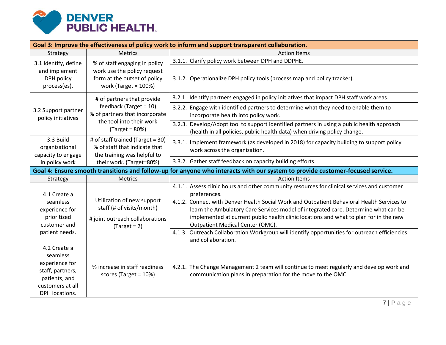

| Goal 3: Improve the effectiveness of policy work to inform and support transparent collaboration.                     |                                                                                                                       |                                                                                                                                                                                                                                                                                                               |
|-----------------------------------------------------------------------------------------------------------------------|-----------------------------------------------------------------------------------------------------------------------|---------------------------------------------------------------------------------------------------------------------------------------------------------------------------------------------------------------------------------------------------------------------------------------------------------------|
| Strategy                                                                                                              | <b>Metrics</b>                                                                                                        | <b>Action Items</b>                                                                                                                                                                                                                                                                                           |
| 3.1 Identify, define                                                                                                  | % of staff engaging in policy                                                                                         | 3.1.1. Clarify policy work between DPH and DDPHE.                                                                                                                                                                                                                                                             |
| and implement<br>DPH policy<br>process(es).                                                                           | work use the policy request<br>form at the outset of policy<br>work (Target = $100\%$ )                               | 3.1.2. Operationalize DPH policy tools (process map and policy tracker).                                                                                                                                                                                                                                      |
|                                                                                                                       | # of partners that provide                                                                                            | 3.2.1. Identify partners engaged in policy initiatives that impact DPH staff work areas.                                                                                                                                                                                                                      |
| 3.2 Support partner<br>policy initiatives                                                                             | feedback (Target = $10$ )<br>% of partners that incorporate                                                           | 3.2.2. Engage with identified partners to determine what they need to enable them to<br>incorporate health into policy work.                                                                                                                                                                                  |
|                                                                                                                       | the tool into their work<br>$(Target = 80%)$                                                                          | 3.2.3. Develop/Adopt tool to support identified partners in using a public health approach<br>(health in all policies, public health data) when driving policy change.                                                                                                                                        |
| 3.3 Build<br>organizational<br>capacity to engage                                                                     | # of staff trained (Target = 30)<br>% of staff that indicate that<br>the training was helpful to                      | 3.3.1. Implement framework (as developed in 2018) for capacity building to support policy<br>work across the organization.                                                                                                                                                                                    |
| in policy work                                                                                                        | their work. (Target=80%)                                                                                              | 3.3.2. Gather staff feedback on capacity building efforts.                                                                                                                                                                                                                                                    |
|                                                                                                                       |                                                                                                                       | Goal 4: Ensure smooth transitions and follow-up for anyone who interacts with our system to provide customer-focused service.                                                                                                                                                                                 |
| Strategy                                                                                                              | <b>Metrics</b>                                                                                                        | <b>Action Items</b>                                                                                                                                                                                                                                                                                           |
| 4.1 Create a                                                                                                          |                                                                                                                       | 4.1.1. Assess clinic hours and other community resources for clinical services and customer<br>preferences.                                                                                                                                                                                                   |
| seamless<br>experience for<br>prioritized<br>customer and                                                             | Utilization of new support<br>staff (# of visits/month)<br># joint outreach collaborations<br>$\textsf{(Target = 2)}$ | 4.1.2. Connect with Denver Health Social Work and Outpatient Behavioral Health Services to<br>learn the Ambulatory Care Services model of integrated care. Determine what can be<br>implemented at current public health clinic locations and what to plan for in the new<br>Outpatient Medical Center (OMC). |
| patient needs.                                                                                                        |                                                                                                                       | 4.1.3. Outreach Collaboration Workgroup will identify opportunities for outreach efficiencies<br>and collaboration.                                                                                                                                                                                           |
| 4.2 Create a<br>seamless<br>experience for<br>staff, partners,<br>patients, and<br>customers at all<br>DPH locations. | % increase in staff readiness<br>scores (Target = $10\%$ )                                                            | 4.2.1. The Change Management 2 team will continue to meet regularly and develop work and<br>communication plans in preparation for the move to the OMC                                                                                                                                                        |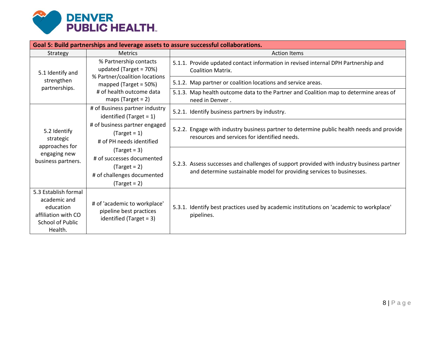

| Goal 5: Build partnerships and leverage assets to assure successful collaborations.                            |                                                                                                                                                                |                                                                                                                                                                    |  |
|----------------------------------------------------------------------------------------------------------------|----------------------------------------------------------------------------------------------------------------------------------------------------------------|--------------------------------------------------------------------------------------------------------------------------------------------------------------------|--|
| Strategy                                                                                                       | <b>Metrics</b>                                                                                                                                                 | <b>Action Items</b>                                                                                                                                                |  |
| 5.1 Identify and<br>strengthen<br>partnerships.                                                                | % Partnership contacts<br>updated (Target = 70%)<br>% Partner/coalition locations<br>mapped (Target = 50%)<br># of health outcome data<br>maps (Target = $2$ ) | 5.1.1. Provide updated contact information in revised internal DPH Partnership and<br><b>Coalition Matrix.</b>                                                     |  |
|                                                                                                                |                                                                                                                                                                | 5.1.2. Map partner or coalition locations and service areas.                                                                                                       |  |
|                                                                                                                |                                                                                                                                                                | 5.1.3. Map health outcome data to the Partner and Coalition map to determine areas of<br>need in Denver.                                                           |  |
|                                                                                                                | # of Business partner industry<br>identified (Target = $1$ )                                                                                                   | 5.2.1. Identify business partners by industry.                                                                                                                     |  |
| 5.2 Identify<br>strategic<br>approaches for<br>engaging new<br>business partners.                              | # of business partner engaged<br>$\text{Target} = 1$<br># of PH needs identified                                                                               | 5.2.2. Engage with industry business partner to determine public health needs and provide<br>resources and services for identified needs.                          |  |
|                                                                                                                | $\text{Target} = 3$<br># of successes documented<br>$\text{Target} = 2$<br># of challenges documented<br>$\text{Target} = 2$                                   | 5.2.3. Assess successes and challenges of support provided with industry business partner<br>and determine sustainable model for providing services to businesses. |  |
| 5.3 Establish formal<br>academic and<br>education<br>affiliation with CO<br><b>School of Public</b><br>Health. | # of 'academic to workplace'<br>pipeline best practices<br>identified (Target = $3$ )                                                                          | 5.3.1. Identify best practices used by academic institutions on 'academic to workplace'<br>pipelines.                                                              |  |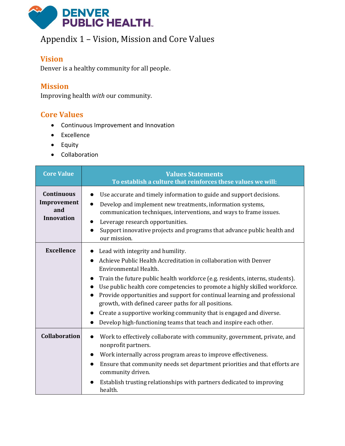

## <span id="page-9-0"></span>Appendix 1 – Vision, Mission and Core Values

#### **Vision**

Denver is a healthy community for all people.

#### **Mission**

Improving health *with* our community.

#### **Core Values**

- Continuous Improvement and Innovation
- Excellence
- Equity
- Collaboration

| <b>Core Value</b>                                            | <b>Values Statements</b><br>To establish a culture that reinforces these values we will:                                                                                                                                                                                                                                                                                                                                                                                                                                                                                                                                          |
|--------------------------------------------------------------|-----------------------------------------------------------------------------------------------------------------------------------------------------------------------------------------------------------------------------------------------------------------------------------------------------------------------------------------------------------------------------------------------------------------------------------------------------------------------------------------------------------------------------------------------------------------------------------------------------------------------------------|
| <b>Continuous</b><br>Improvement<br>and<br><b>Innovation</b> | Use accurate and timely information to guide and support decisions.<br>$\bullet$<br>Develop and implement new treatments, information systems,<br>$\bullet$<br>communication techniques, interventions, and ways to frame issues.<br>Leverage research opportunities.<br>Support innovative projects and programs that advance public health and<br>our mission.                                                                                                                                                                                                                                                                  |
| <b>Excellence</b>                                            | Lead with integrity and humility.<br>$\bullet$<br>Achieve Public Health Accreditation in collaboration with Denver<br>Environmental Health.<br>Train the future public health workforce (e.g. residents, interns, students).<br>Use public health core competencies to promote a highly skilled workforce.<br>Provide opportunities and support for continual learning and professional<br>$\bullet$<br>growth, with defined career paths for all positions.<br>Create a supportive working community that is engaged and diverse.<br>$\bullet$<br>Develop high-functioning teams that teach and inspire each other.<br>$\bullet$ |
| <b>Collaboration</b>                                         | Work to effectively collaborate with community, government, private, and<br>$\bullet$<br>nonprofit partners.<br>Work internally across program areas to improve effectiveness.<br>$\bullet$<br>Ensure that community needs set department priorities and that efforts are<br>community driven.<br>Establish trusting relationships with partners dedicated to improving<br>health.                                                                                                                                                                                                                                                |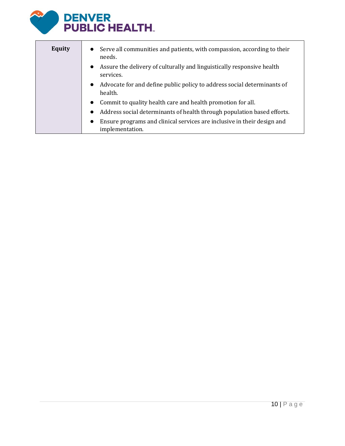

| <b>Equity</b> | • Serve all communities and patients, with compassion, according to their<br>needs.                     |
|---------------|---------------------------------------------------------------------------------------------------------|
|               | • Assure the delivery of culturally and linguistically responsive health<br>services.                   |
|               | Advocate for and define public policy to address social determinants of<br>$\bullet$<br>health.         |
|               | • Commit to quality health care and health promotion for all.                                           |
|               | Address social determinants of health through population based efforts.<br>$\bullet$                    |
|               | Ensure programs and clinical services are inclusive in their design and<br>$\bullet$<br>implementation. |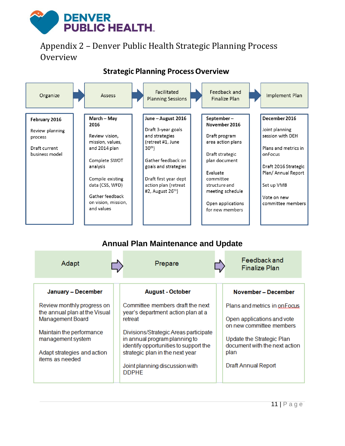## **DENVER PUBLIC HEALTH.**

## <span id="page-11-0"></span>Appendix 2 – Denver Public Health Strategic Planning Process Overview



## **Annual Plan Maintenance and Update**

| Adapt                                                                                                                                                                                     | Prepare                                                                                                                                                                                                                                                                                   | Feedback and<br><b>Finalize Plan</b>                                                                                                                                                        |
|-------------------------------------------------------------------------------------------------------------------------------------------------------------------------------------------|-------------------------------------------------------------------------------------------------------------------------------------------------------------------------------------------------------------------------------------------------------------------------------------------|---------------------------------------------------------------------------------------------------------------------------------------------------------------------------------------------|
| January - December                                                                                                                                                                        | <b>August - October</b>                                                                                                                                                                                                                                                                   | November - December                                                                                                                                                                         |
| Review monthly progress on<br>the annual plan at the Visual<br><b>Management Board</b><br>Maintain the performance<br>management system<br>Adapt strategies and action<br>items as needed | Committee members draft the next<br>year's department action plan at a<br>retreat<br>Divisions/Strategic Areas participate<br>in annual program planning to<br>identify opportunities to support the<br>strategic plan in the next year<br>Joint planning discussion with<br><b>DDPHE</b> | Plans and metrics in on Focus<br>Open applications and vote<br>on new committee members<br>Update the Strategic Plan<br>document with the next action<br>plan<br><b>Draft Annual Report</b> |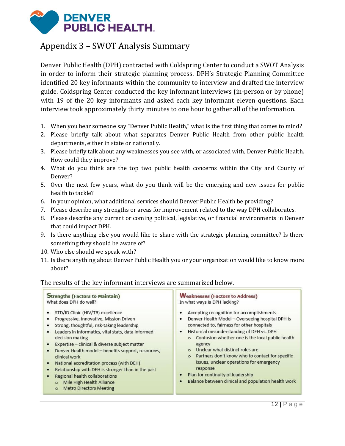

## <span id="page-12-0"></span>Appendix 3 – SWOT Analysis Summary

Denver Public Health (DPH) contracted with Coldspring Center to conduct a SWOT Analysis in order to inform their strategic planning process. DPH's Strategic Planning Committee identified 20 key informants within the community to interview and drafted the interview guide. Coldspring Center conducted the key informant interviews (in-person or by phone) with 19 of the 20 key informants and asked each key informant eleven questions. Each interview took approximately thirty minutes to one hour to gather all of the information.

- 1. When you hear someone say "Denver Public Health," what is the first thing that comes to mind?
- 2. Please briefly talk about what separates Denver Public Health from other public health departments, either in state or nationally.
- 3. Please briefly talk about any weaknesses you see with, or associated with, Denver Public Health. How could they improve?
- 4. What do you think are the top two public health concerns within the City and County of Denver?
- 5. Over the next few years, what do you think will be the emerging and new issues for public health to tackle?
- 6. In your opinion, what additional services should Denver Public Health be providing?
- 7. Please describe any strengths or areas for improvement related to the way DPH collaborates.
- 8. Please describe any current or coming political, legislative, or financial environments in Denver that could impact DPH.
- 9. Is there anything else you would like to share with the strategic planning committee? Is there something they should be aware of?
- 10. Who else should we speak with?
- 11. Is there anything about Denver Public Health you or your organization would like to know more about?

#### The results of the key informant interviews are summarized below.

| <b>Strengths (Factors to Maintain)</b>                                                                                                                                                                                                                                                                                                                                                                                                                                                                                                                                                                                        | <b>Weaknesses (Factors to Address)</b>                                                                                                                                                                                                                                                                                                                                                                                                                                                                                                                              |
|-------------------------------------------------------------------------------------------------------------------------------------------------------------------------------------------------------------------------------------------------------------------------------------------------------------------------------------------------------------------------------------------------------------------------------------------------------------------------------------------------------------------------------------------------------------------------------------------------------------------------------|---------------------------------------------------------------------------------------------------------------------------------------------------------------------------------------------------------------------------------------------------------------------------------------------------------------------------------------------------------------------------------------------------------------------------------------------------------------------------------------------------------------------------------------------------------------------|
| What does DPH do well?                                                                                                                                                                                                                                                                                                                                                                                                                                                                                                                                                                                                        | In what ways is DPH lacking?                                                                                                                                                                                                                                                                                                                                                                                                                                                                                                                                        |
| STD/ID Clinic (HIV/TB) excellence<br>٠<br>Progressive, Innovative, Mission Driven<br>Strong, thoughtful, risk-taking leadership<br>٠<br>Leaders in informatics, vital stats, data informed<br>٠<br>decision making<br>Expertise - clinical & diverse subject matter<br>$\bullet$<br>Denver Health model - benefits support, resources,<br>$\bullet$<br>clinical work<br>National accreditation process (with DEH)<br>$\bullet$<br>Relationship with DEH is stronger than in the past<br>٠<br>Regional health collaborations<br>$\bullet$<br>Mile High Health Alliance<br>$\circ$<br><b>Metro Directors Meeting</b><br>$\circ$ | Accepting recognition for accomplishments<br>٠<br>Denver Health Model - Overseeing hospital DPH is<br>٠<br>connected to, fairness for other hospitals<br>Historical misunderstanding of DEH vs. DPH<br>٠<br>Confusion whether one is the local public health<br>$\circ$<br>agency<br>Unclear what distinct roles are<br>$\circ$<br>Partners don't know who to contact for specific<br>$\circ$<br>issues, unclear operations for emergency<br>response<br>Plan for continuity of leadership<br>٠<br>Balance between clinical and population health work<br>$\bullet$ |